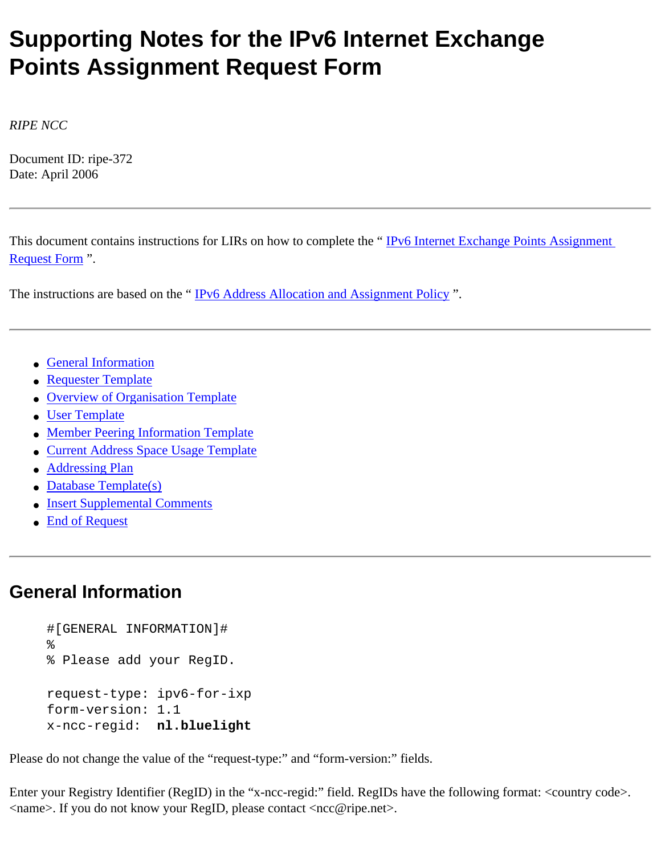# **Supporting Notes for the IPv6 Internet Exchange Points Assignment Request Form**

*RIPE NCC*

Document ID: ripe-372 Date: April 2006

This document contains instructions for LIRs on how to complete the "[IPv6 Internet Exchange Points Assignment](http://test-www.ripe.net/ripe/docs/ipv6request-exchangepoint.html) [Request Form](http://test-www.ripe.net/ripe/docs/ipv6request-exchangepoint.html) ".

The instructions are based on the "IPv6 Address Allocation and Assignment Policy".

- [General Information](#page-0-0)
- [Requester Template](#page-1-0)
- [Overview of Organisation Template](#page-1-1)
- [User Template](#page-1-2)
- [Member Peering Information Template](#page-2-0)
- [Current Address Space Usage Template](#page-2-1)
- [Addressing Plan](#page-3-0)
- [Database Template\(s\)](#page-3-1)
- [Insert Supplemental Comments](#page-5-0)
- [End of Request](#page-5-1)

## <span id="page-0-0"></span>**General Information**

```
#[GENERAL INFORMATION]#
%
% Please add your RegID.
request-type: ipv6-for-ixp
form-version: 1.1
x-ncc-regid: nl.bluelight
```
Please do not change the value of the "request-type:" and "form-version:" fields.

Enter your Registry Identifier (RegID) in the "x-ncc-regid:" field. RegIDs have the following format: <country code>. <name>. If you do not know your RegID, please contact <ncc@ripe.net>.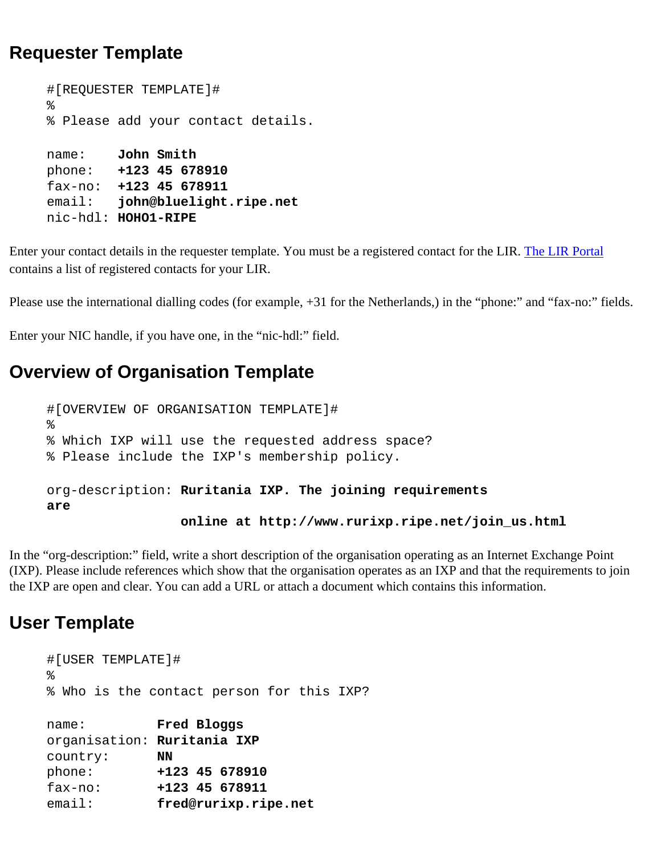### <span id="page-1-0"></span>**Requester Template**

```
#[REQUESTER TEMPLATE]#
%
% Please add your contact details.
name: John Smith
phone: +123 45 678910
fax-no: +123 45 678911
email: john@bluelight.ripe.net
nic-hdl: HOHO1-RIPE
```
Enter your contact details in the requester template. You must be a registered contact for the LIR. [The LIR Portal](https://lirportal.ripe.net/) contains a list of registered contacts for your LIR.

Please use the international dialling codes (for example, +31 for the Netherlands,) in the "phone:" and "fax-no:" fields.

Enter your NIC handle, if you have one, in the "nic-hdl:" field.

## <span id="page-1-1"></span>**Overview of Organisation Template**

```
#[OVERVIEW OF ORGANISATION TEMPLATE]#
%
% Which IXP will use the requested address space? 
% Please include the IXP's membership policy.
org-description: Ruritania IXP. The joining requirements 
are 
                  online at http://www.rurixp.ripe.net/join_us.html
```
In the "org-description:" field, write a short description of the organisation operating as an Internet Exchange Point (IXP). Please include references which show that the organisation operates as an IXP and that the requirements to join the IXP are open and clear. You can add a URL or attach a document which contains this information.

### <span id="page-1-2"></span>**User Template**

```
#[USER TEMPLATE]#
%
% Who is the contact person for this IXP?
name: Fred Bloggs
organisation: Ruritania IXP
country: NN
phone: +123 45 678910
fax-no: +123 45 678911
email: fred@rurixp.ripe.net
```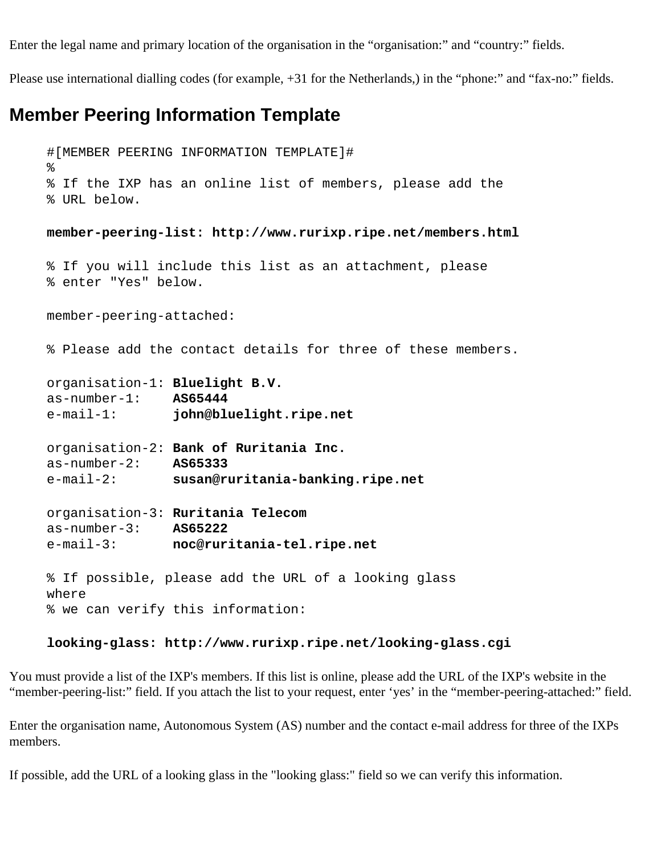Enter the legal name and primary location of the organisation in the "organisation:" and "country:" fields.

Please use international dialling codes (for example, +31 for the Netherlands,) in the "phone:" and "fax-no:" fields.

### <span id="page-2-0"></span>**Member Peering Information Template**

```
#[MEMBER PEERING INFORMATION TEMPLATE]#
%
% If the IXP has an online list of members, please add the
% URL below.
member-peering-list: http://www.rurixp.ripe.net/members.html
% If you will include this list as an attachment, please 
% enter "Yes" below.
member-peering-attached:
% Please add the contact details for three of these members.
organisation-1: Bluelight B.V.
as-number-1: AS65444
e-mail-1: john@bluelight.ripe.net
organisation-2: Bank of Ruritania Inc.
as-number-2: AS65333
e-mail-2: susan@ruritania-banking.ripe.net
organisation-3: Ruritania Telecom
as-number-3: AS65222
e-mail-3: noc@ruritania-tel.ripe.net
% If possible, please add the URL of a looking glass 
where 
% we can verify this information:
```
#### **looking-glass: http://www.rurixp.ripe.net/looking-glass.cgi**

You must provide a list of the IXP's members. If this list is online, please add the URL of the IXP's website in the "member-peering-list:" field. If you attach the list to your request, enter 'yes' in the "member-peering-attached:" field.

Enter the organisation name, Autonomous System (AS) number and the contact e-mail address for three of the IXPs members.

<span id="page-2-1"></span>If possible, add the URL of a looking glass in the "looking glass:" field so we can verify this information.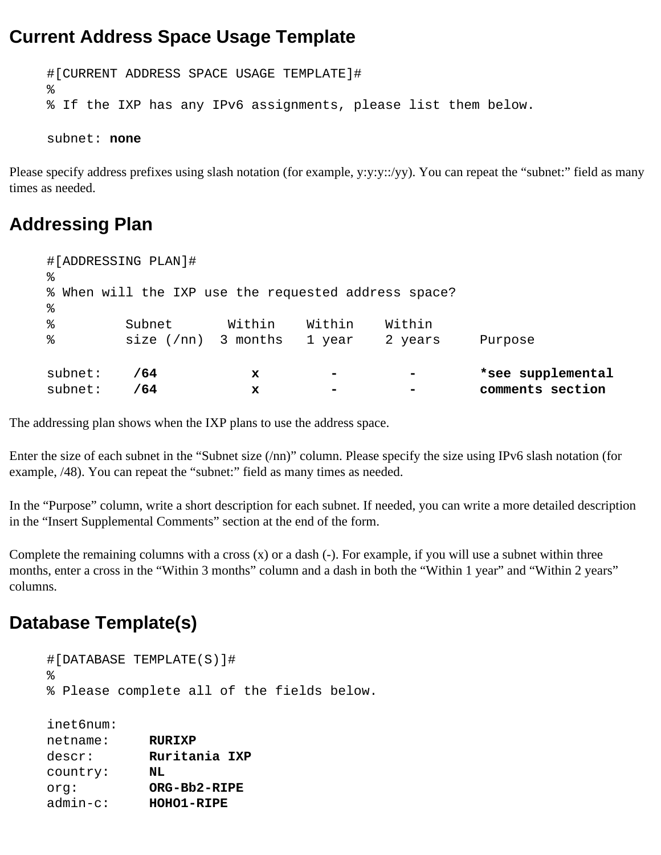### **Current Address Space Usage Template**

```
#[CURRENT ADDRESS SPACE USAGE TEMPLATE]#
\,% If the IXP has any IPv6 assignments, please list them below.
subnet: none
```
Please specify address prefixes using slash notation (for example, y:y:y::/yy). You can repeat the "subnet:" field as many times as needed.

### <span id="page-3-0"></span>**Addressing Plan**

| #[ADDRESSING PLAN]#<br>ిన<br>% When will the IXP use the requested address space? |                       |        |        |                 |                   |  |
|-----------------------------------------------------------------------------------|-----------------------|--------|--------|-----------------|-------------------|--|
|                                                                                   |                       |        |        |                 |                   |  |
| %                                                                                 | Subnet                | Within | Within | Within          |                   |  |
| နွ                                                                                | size $(7nn)$ 3 months |        | 1 year | 2 years         | Purpose           |  |
| subnet:                                                                           | /64                   | x      |        | $\qquad \qquad$ | *see supplemental |  |
| subnet:                                                                           | /64                   | x      |        |                 | comments section  |  |

The addressing plan shows when the IXP plans to use the address space.

Enter the size of each subnet in the "Subnet size (/nn)" column. Please specify the size using IPv6 slash notation (for example, /48). You can repeat the "subnet:" field as many times as needed.

In the "Purpose" column, write a short description for each subnet. If needed, you can write a more detailed description in the "Insert Supplemental Comments" section at the end of the form.

Complete the remaining columns with a cross  $(x)$  or a dash  $(-)$ . For example, if you will use a subnet within three months, enter a cross in the "Within 3 months" column and a dash in both the "Within 1 year" and "Within 2 years" columns.

## <span id="page-3-1"></span>**Database Template(s)**

```
#[DATABASE TEMPLATE(S)]# 
%
% Please complete all of the fields below.
inet6num: 
netname: RURIXP
descr: Ruritania IXP
country: NL
org: ORG-Bb2-RIPE
admin-c: HOHO1-RIPE
```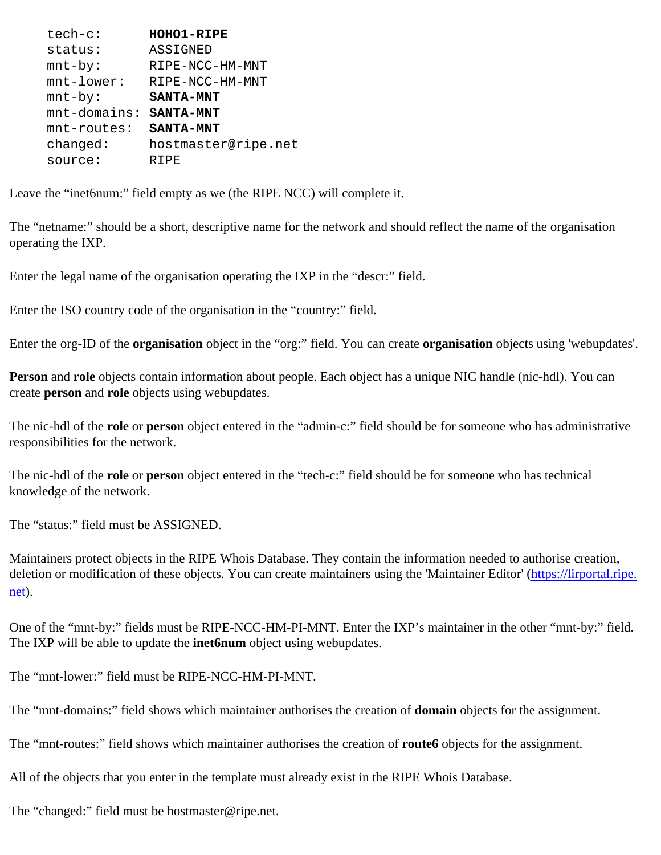| $tech-c$ :      | <b>HOHO1-RIPE</b>   |
|-----------------|---------------------|
| status:         | ASSIGNED            |
| $mnt-by$ :      | RIPE-NCC-HM-MNT     |
| $mnt-lower$ :   | RIPE-NCC-HM-MNT     |
| $mnt-by$ :      | <b>SANTA-MNT</b>    |
| $mnt$ -domains: | <b>SANTA-MNT</b>    |
| $mnt$ -routes:  | <b>SANTA-MNT</b>    |
| changed:        | hostmaster@ripe.net |
| source:         | R T PF.             |
|                 |                     |

Leave the "inet6num:" field empty as we (the RIPE NCC) will complete it.

The "netname:" should be a short, descriptive name for the network and should reflect the name of the organisation operating the IXP.

Enter the legal name of the organisation operating the IXP in the "descr:" field.

Enter the ISO country code of the organisation in the "country:" field.

Enter the org-ID of the **organisation** object in the "org:" field. You can create **organisation** objects using 'webupdates'.

**Person** and **role** objects contain information about people. Each object has a unique NIC handle (nic-hdl). You can create **person** and **role** objects using webupdates.

The nic-hdl of the **role** or **person** object entered in the "admin-c:" field should be for someone who has administrative responsibilities for the network.

The nic-hdl of the **role** or **person** object entered in the "tech-c:" field should be for someone who has technical knowledge of the network.

The "status:" field must be ASSIGNED.

Maintainers protect objects in the RIPE Whois Database. They contain the information needed to authorise creation, deletion or modification of these objects. You can create maintainers using the 'Maintainer Editor' [\(https://lirportal.ripe.](https://lirportal.ripe.net/) [net\)](https://lirportal.ripe.net/).

One of the "mnt-by:" fields must be RIPE-NCC-HM-PI-MNT. Enter the IXP's maintainer in the other "mnt-by:" field. The IXP will be able to update the **inet6num** object using webupdates.

The "mnt-lower:" field must be RIPE-NCC-HM-PI-MNT.

The "mnt-domains:" field shows which maintainer authorises the creation of **domain** objects for the assignment.

The "mnt-routes:" field shows which maintainer authorises the creation of **route6** objects for the assignment.

All of the objects that you enter in the template must already exist in the RIPE Whois Database.

The "changed:" field must be hostmaster@ripe.net.